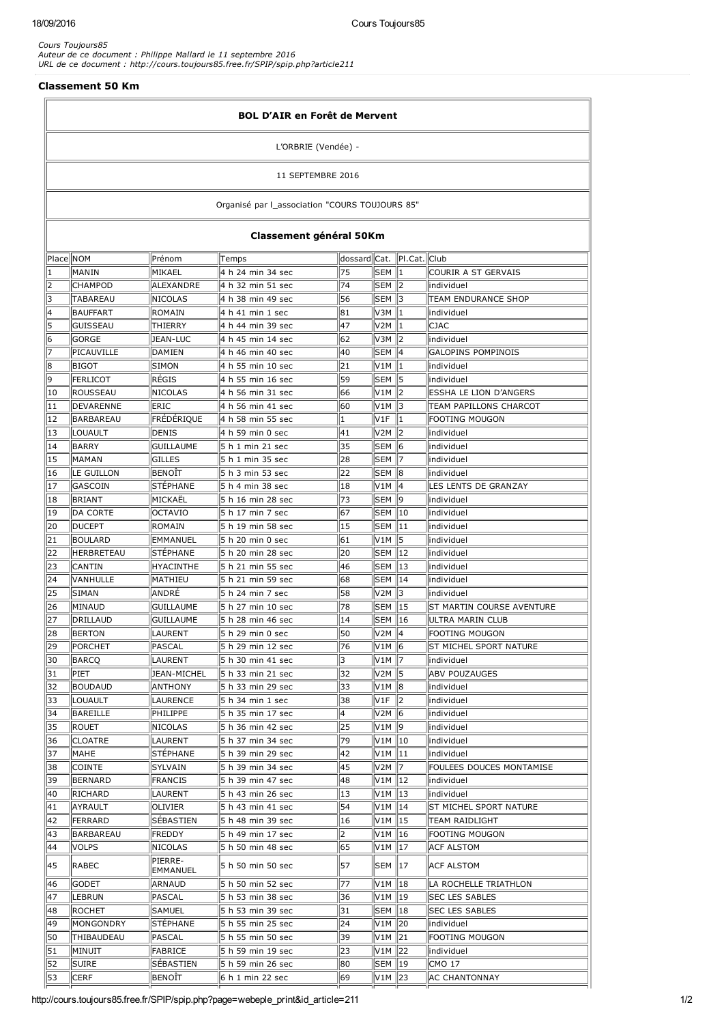$\overline{r}$ 

 $\overline{\mathbb{I}}$ 

*Cours Toujours85 Auteur de ce document : Philippe Mallard le 11 septembre 2016 URL de ce document : http://cours.toujours85.free.fr/SPIP/spip.php?article211*

## Classement 50 Km

| <b>BOL D'AIR en Forêt de Mervent</b>     |                  |                     |                   |              |                             |                          |                               |  |  |  |  |                                                |
|------------------------------------------|------------------|---------------------|-------------------|--------------|-----------------------------|--------------------------|-------------------------------|--|--|--|--|------------------------------------------------|
| L'ORBRIE (Vendée) -<br>11 SEPTEMBRE 2016 |                  |                     |                   |              |                             |                          |                               |  |  |  |  |                                                |
|                                          |                  |                     |                   |              |                             |                          |                               |  |  |  |  | Organisé par l_association "COURS TOUJOURS 85" |
| Classement général 50Km                  |                  |                     |                   |              |                             |                          |                               |  |  |  |  |                                                |
| Place NOM                                |                  | Prénom              | Temps             | dossard Cat. |                             | PI.Cat. Club             |                               |  |  |  |  |                                                |
| 1                                        | MANIN            | MIKAEL              | 4 h 24 min 34 sec | 75           | lsem II1                    |                          | COURIR A ST GERVAIS           |  |  |  |  |                                                |
| 2                                        | <b>CHAMPOD</b>   | ALEXANDRE           | 4 h 32 min 51 sec | 74           | SEM 2                       |                          | individuel                    |  |  |  |  |                                                |
| 3                                        | TABAREAU         | NICOLAS             | 4 h 38 min 49 sec | 56           | SEM 13                      |                          | TEAM ENDURANCE SHOP           |  |  |  |  |                                                |
| 4                                        | <b>BAUFFART</b>  | ROMAIN              | 4 h 41 min 1 sec  | 81           | V3M   1                     |                          | individuel                    |  |  |  |  |                                                |
| 5                                        | GUISSEAU         | THIERRY             | 4 h 44 min 39 sec | 47           | $V2M$   1                   |                          | <b>CJAC</b>                   |  |  |  |  |                                                |
| 6                                        | <b>GORGE</b>     | <b>JEAN-LUC</b>     | 4 h 45 min 14 sec | 62           | $V3M$ 2                     |                          | individuel                    |  |  |  |  |                                                |
| 17                                       | PICAUVILLE       | DAMIEN              | 4 h 46 min 40 sec | 40           | SEM 14                      |                          | <b>GALOPINS POMPINOIS</b>     |  |  |  |  |                                                |
| 8                                        | BIGOT            | SIMON               | 4 h 55 min 10 sec | 21           | $V1M \parallel 1$           |                          | lindividuel                   |  |  |  |  |                                                |
| 9                                        | <b>FERLICOT</b>  | RÉGIS               | 4 h 55 min 16 sec | 59           | lsem 115                    |                          | individuel                    |  |  |  |  |                                                |
| 10                                       | ROUSSEAU         | NICOLAS             | 4 h 56 min 31 sec | 66           |                             |                          | <b>ESSHA LE LION D'ANGERS</b> |  |  |  |  |                                                |
| 11                                       | DEVARENNE        | <b>ERIC</b>         | 4 h 56 min 41 sec | 60           | V1M   3                     |                          | TEAM PAPILLONS CHARCOT        |  |  |  |  |                                                |
| 12                                       | <b>BARBAREAU</b> | FRÉDÉRIQUE          | 4 h 58 min 55 sec | 1            | V1F                         | 11                       | <b>FOOTING MOUGON</b>         |  |  |  |  |                                                |
| 13                                       | LOUAULT          | DENIS               | 4 h 59 min 0 sec  | 41           |                             |                          | lindividuel                   |  |  |  |  |                                                |
| 14                                       | <b>BARRY</b>     | GUILLAUME           | 5 h 1 min 21 sec  | 35           | $ SEM $ $ 6$                |                          | individuel                    |  |  |  |  |                                                |
| 15                                       | MAMAN            | <b>GILLES</b>       | 5 h 1 min 35 sec  | 28           | SEM   7                     |                          | individuel                    |  |  |  |  |                                                |
| 16                                       | LE GUILLON       | BENOÏT              | 5 h 3 min 53 sec  | 22           | SEM 18                      |                          | individuel                    |  |  |  |  |                                                |
| 17                                       | GASCOIN          | <b>STÉPHANE</b>     | 5 h 4 min 38 sec  | 18           | $V1M$  4                    |                          | LES LENTS DE GRANZAY          |  |  |  |  |                                                |
| 18                                       | BRIANT           | MICKAËL             | 5 h 16 min 28 sec | 73           | SEM 19                      |                          | individuel                    |  |  |  |  |                                                |
| 19                                       | <b>DA CORTE</b>  | <b>OCTAVIO</b>      | 5 h 17 min 7 sec  | 67           | SEM 10                      |                          | individuel                    |  |  |  |  |                                                |
| 20                                       | <b>DUCEPT</b>    | ROMAIN              | 5 h 19 min 58 sec | 15           | $\mathsf{SEM} \parallel 11$ |                          | individuel                    |  |  |  |  |                                                |
| 21                                       | <b>BOULARD</b>   | EMMANUEL            | 5 h 20 min 0 sec  | 61           |                             |                          | individuel                    |  |  |  |  |                                                |
| 22                                       | HERBRETEAU       | <b>STEPHANE</b>     | 5 h 20 min 28 sec | 20           | SEM 12                      |                          | individuel                    |  |  |  |  |                                                |
| 23                                       | <b>CANTIN</b>    | <b>HYACINTHE</b>    | 5 h 21 min 55 sec | 46           |                             |                          | individuel                    |  |  |  |  |                                                |
| 24                                       | VANHULLE         | MATHIEU             | 5 h 21 min 59 sec | 68           | SEM  14                     |                          | individuel                    |  |  |  |  |                                                |
| 25                                       | SIMAN            | ANDRÉ               | 5 h 24 min 7 sec  | 58           |                             |                          | individuel                    |  |  |  |  |                                                |
| 26                                       | MINAUD           | <b>GUILLAUME</b>    | 5 h 27 min 10 sec | 78           | <b>SEM 15</b>               |                          | ST MARTIN COURSE AVENTURE     |  |  |  |  |                                                |
| 27                                       | DRILLAUD         | <b>GUILLAUME</b>    | 5 h 28 min 46 sec | 14           | SEM 16                      |                          | IULTRA MARIN CLUB             |  |  |  |  |                                                |
| 28                                       | <b>BERTON</b>    | LAURENT             | 5 h 29 min 0 sec  | 50           | $V2M$  4                    |                          | <b>FOOTING MOUGON</b>         |  |  |  |  |                                                |
| 29                                       | PORCHET          | PASCAL              | 5 h 29 min 12 sec | 76           | $V1M$ 6                     |                          | ST MICHEL SPORT NATURE        |  |  |  |  |                                                |
| 30                                       | <b>BARCQ</b>     | LAURENT             | 5 h 30 min 41 sec | 3            | V <sub>1</sub> M 7          |                          | individuel                    |  |  |  |  |                                                |
| 31                                       | PIET             | JEAN-MICHEL         | 5 h 33 min 21 sec | 32           | $V2M$   5                   |                          | <b>ABV POUZAUGES</b>          |  |  |  |  |                                                |
| 32                                       | <b>BOUDAUD</b>   | ANTHONY             | 5 h 33 min 29 sec | 33           | V1M   8                     |                          | individuel                    |  |  |  |  |                                                |
| 33                                       | LOUAULT          | LAURENCE            | 5 h 34 min 1 sec  | 38           | V1F                         | $\parallel$ <sub>2</sub> | individuel                    |  |  |  |  |                                                |
| 34                                       | BAREILLE         | PHILIPPE            | 5 h 35 min 17 sec | 4            | V2M   6                     |                          | individuel                    |  |  |  |  |                                                |
| 35                                       | Rouet            | NICOLAS             | 5 h 36 min 42 sec | 25           | V1M   9                     |                          | individuel                    |  |  |  |  |                                                |
| 36                                       | <b>CLOATRE</b>   | LAURENT             | 5 h 37 min 34 sec | 79           | $V1M$ 10                    |                          | individuel                    |  |  |  |  |                                                |
| 37                                       | MAHE             | <b>STÉPHANE</b>     | 5 h 39 min 29 sec | 42           | $V1M$   11                  |                          | individuel                    |  |  |  |  |                                                |
| 38                                       | <b>COINTE</b>    | SYLVAIN             | 5 h 39 min 34 sec | 45           |                             |                          | FOULEES DOUCES MONTAMISE      |  |  |  |  |                                                |
| 39                                       | <b>BERNARD</b>   | FRANCIS             | 5 h 39 min 47 sec | 48           | V1M   12                    |                          | lindividuel                   |  |  |  |  |                                                |
| 40                                       | RICHARD          | LAURENT             | 5 h 43 min 26 sec | 13           | V1M   13                    |                          | individuel                    |  |  |  |  |                                                |
| 41                                       | AYRAULT          | OLIVIER             | 5 h 43 min 41 sec | 54           | V1M   14                    |                          | ST MICHEL SPORT NATURE        |  |  |  |  |                                                |
| 42                                       | <b>FERRARD</b>   | SEBASTIEN           | 5 h 48 min 39 sec | 16           | $V1M$   15                  |                          | <b>TEAM RAIDLIGHT</b>         |  |  |  |  |                                                |
| 43                                       | BARBAREAU        | <b>FREDDY</b>       | 5 h 49 min 17 sec | 2            | V1M   16                    |                          | <b>FOOTING MOUGON</b>         |  |  |  |  |                                                |
| 44                                       | <b>VOLPS</b>     | NICOLAS             | 5 h 50 min 48 sec | 65           | V1M   17                    |                          | <b>ACF ALSTOM</b>             |  |  |  |  |                                                |
| 45                                       | <b>RABEC</b>     | PIERRE-<br>EMMANUEL | 5 h 50 min 50 sec | 57           | SEM 17                      |                          | <b>ACF ALSTOM</b>             |  |  |  |  |                                                |
| 46                                       | <b>GODET</b>     | ARNAUD              | 5 h 50 min 52 sec | 77           | V1M   18                    |                          | LA ROCHELLE TRIATHLON         |  |  |  |  |                                                |
| 47                                       | <b>LEBRUN</b>    | PASCAL              | 5 h 53 min 38 sec | 36           | V1M   19                    |                          | <b>SEC LES SABLES</b>         |  |  |  |  |                                                |
| 48                                       | <b>ROCHET</b>    | SAMUEL              | 5 h 53 min 39 sec | 31           | SEM   18                    |                          | <b>SEC LES SABLES</b>         |  |  |  |  |                                                |
| 49                                       | MONGONDRY        | STÉPHANE            | 5 h 55 min 25 sec | 24           | V1M   20                    |                          | individuel                    |  |  |  |  |                                                |
| 50                                       | THIBAUDEAU       | PASCAL              | 5 h 55 min 50 sec | 39           |                             |                          | <b>FOOTING MOUGON</b>         |  |  |  |  |                                                |
| 51                                       | MINUIT           | FABRICE             | 5 h 59 min 19 sec | 23           | V1M 22                      |                          | individuel                    |  |  |  |  |                                                |
| 52                                       | <b>SUIRE</b>     | SÉBASTIEN           | 5 h 59 min 26 sec | 80           | SEM 19                      |                          | <b>CMO 17</b>                 |  |  |  |  |                                                |
| 53                                       | <b>CERF</b>      | BENOÏT              | 6 h 1 min 22 sec  | 69           | V1M 23                      |                          | <b>AC CHANTONNAY</b>          |  |  |  |  |                                                |